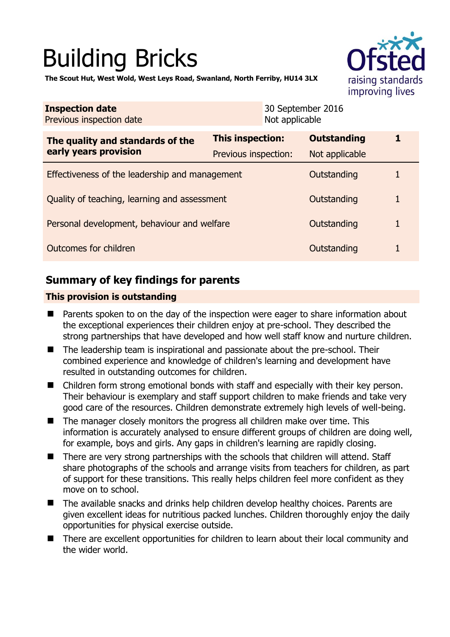# Building Bricks



**The Scout Hut, West Wold, West Leys Road, Swanland, North Ferriby, HU14 3LX** 

| <b>Inspection date</b><br>Previous inspection date        |                                                 | 30 September 2016<br>Not applicable  |             |  |
|-----------------------------------------------------------|-------------------------------------------------|--------------------------------------|-------------|--|
| The quality and standards of the<br>early years provision | <b>This inspection:</b><br>Previous inspection: | <b>Outstanding</b><br>Not applicable |             |  |
| Effectiveness of the leadership and management            |                                                 | Outstanding                          |             |  |
| Quality of teaching, learning and assessment              |                                                 | Outstanding                          | 1           |  |
| Personal development, behaviour and welfare               |                                                 | Outstanding                          | 1           |  |
| Outcomes for children                                     |                                                 |                                      | Outstanding |  |

## **Summary of key findings for parents**

## **This provision is outstanding**

- Parents spoken to on the day of the inspection were eager to share information about the exceptional experiences their children enjoy at pre-school. They described the strong partnerships that have developed and how well staff know and nurture children.
- The leadership team is inspirational and passionate about the pre-school. Their combined experience and knowledge of children's learning and development have resulted in outstanding outcomes for children.
- Children form strong emotional bonds with staff and especially with their key person. Their behaviour is exemplary and staff support children to make friends and take very good care of the resources. Children demonstrate extremely high levels of well-being.
- The manager closely monitors the progress all children make over time. This information is accurately analysed to ensure different groups of children are doing well, for example, boys and girls. Any gaps in children's learning are rapidly closing.
- There are very strong partnerships with the schools that children will attend. Staff share photographs of the schools and arrange visits from teachers for children, as part of support for these transitions. This really helps children feel more confident as they move on to school.
- The available snacks and drinks help children develop healthy choices. Parents are given excellent ideas for nutritious packed lunches. Children thoroughly enjoy the daily opportunities for physical exercise outside.
- There are excellent opportunities for children to learn about their local community and the wider world.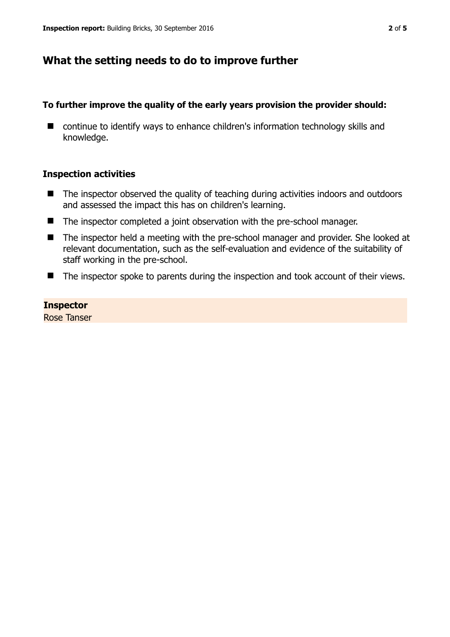## **What the setting needs to do to improve further**

### **To further improve the quality of the early years provision the provider should:**

■ continue to identify ways to enhance children's information technology skills and knowledge.

#### **Inspection activities**

- The inspector observed the quality of teaching during activities indoors and outdoors and assessed the impact this has on children's learning.
- The inspector completed a joint observation with the pre-school manager.
- The inspector held a meeting with the pre-school manager and provider. She looked at relevant documentation, such as the self-evaluation and evidence of the suitability of staff working in the pre-school.
- The inspector spoke to parents during the inspection and took account of their views.

## **Inspector**

Rose Tanser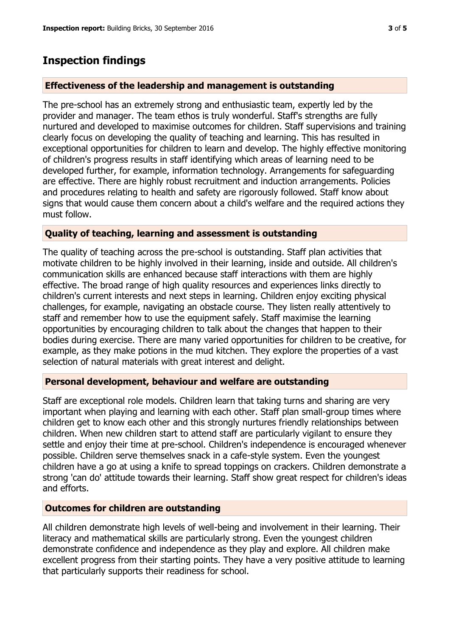## **Inspection findings**

#### **Effectiveness of the leadership and management is outstanding**

The pre-school has an extremely strong and enthusiastic team, expertly led by the provider and manager. The team ethos is truly wonderful. Staff's strengths are fully nurtured and developed to maximise outcomes for children. Staff supervisions and training clearly focus on developing the quality of teaching and learning. This has resulted in exceptional opportunities for children to learn and develop. The highly effective monitoring of children's progress results in staff identifying which areas of learning need to be developed further, for example, information technology. Arrangements for safeguarding are effective. There are highly robust recruitment and induction arrangements. Policies and procedures relating to health and safety are rigorously followed. Staff know about signs that would cause them concern about a child's welfare and the required actions they must follow.

## **Quality of teaching, learning and assessment is outstanding**

The quality of teaching across the pre-school is outstanding. Staff plan activities that motivate children to be highly involved in their learning, inside and outside. All children's communication skills are enhanced because staff interactions with them are highly effective. The broad range of high quality resources and experiences links directly to children's current interests and next steps in learning. Children enjoy exciting physical challenges, for example, navigating an obstacle course. They listen really attentively to staff and remember how to use the equipment safely. Staff maximise the learning opportunities by encouraging children to talk about the changes that happen to their bodies during exercise. There are many varied opportunities for children to be creative, for example, as they make potions in the mud kitchen. They explore the properties of a vast selection of natural materials with great interest and delight.

#### **Personal development, behaviour and welfare are outstanding**

Staff are exceptional role models. Children learn that taking turns and sharing are very important when playing and learning with each other. Staff plan small-group times where children get to know each other and this strongly nurtures friendly relationships between children. When new children start to attend staff are particularly vigilant to ensure they settle and enjoy their time at pre-school. Children's independence is encouraged whenever possible. Children serve themselves snack in a cafe-style system. Even the youngest children have a go at using a knife to spread toppings on crackers. Children demonstrate a strong 'can do' attitude towards their learning. Staff show great respect for children's ideas and efforts.

#### **Outcomes for children are outstanding**

All children demonstrate high levels of well-being and involvement in their learning. Their literacy and mathematical skills are particularly strong. Even the youngest children demonstrate confidence and independence as they play and explore. All children make excellent progress from their starting points. They have a very positive attitude to learning that particularly supports their readiness for school.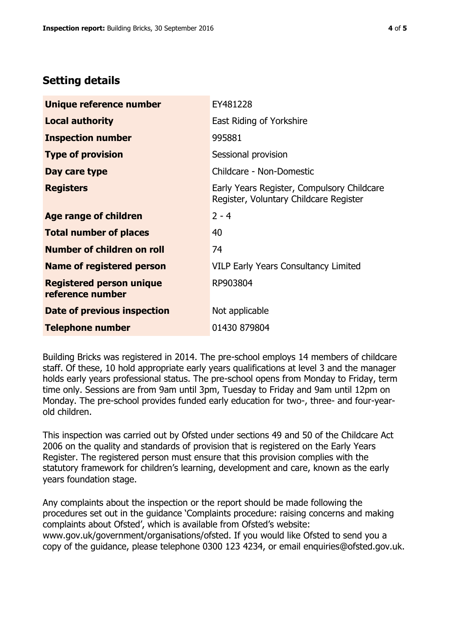## **Setting details**

| Unique reference number                             | EY481228                                                                             |  |
|-----------------------------------------------------|--------------------------------------------------------------------------------------|--|
| <b>Local authority</b>                              | East Riding of Yorkshire                                                             |  |
| <b>Inspection number</b>                            | 995881                                                                               |  |
| <b>Type of provision</b>                            | Sessional provision                                                                  |  |
| Day care type                                       | Childcare - Non-Domestic                                                             |  |
| <b>Registers</b>                                    | Early Years Register, Compulsory Childcare<br>Register, Voluntary Childcare Register |  |
| Age range of children                               | $2 - 4$                                                                              |  |
| <b>Total number of places</b>                       | 40                                                                                   |  |
| Number of children on roll                          | 74                                                                                   |  |
| Name of registered person                           | <b>VILP Early Years Consultancy Limited</b>                                          |  |
| <b>Registered person unique</b><br>reference number | RP903804                                                                             |  |
| Date of previous inspection                         | Not applicable                                                                       |  |
| <b>Telephone number</b>                             | 01430 879804                                                                         |  |

Building Bricks was registered in 2014. The pre-school employs 14 members of childcare staff. Of these, 10 hold appropriate early years qualifications at level 3 and the manager holds early years professional status. The pre-school opens from Monday to Friday, term time only. Sessions are from 9am until 3pm, Tuesday to Friday and 9am until 12pm on Monday. The pre-school provides funded early education for two-, three- and four-yearold children.

This inspection was carried out by Ofsted under sections 49 and 50 of the Childcare Act 2006 on the quality and standards of provision that is registered on the Early Years Register. The registered person must ensure that this provision complies with the statutory framework for children's learning, development and care, known as the early years foundation stage.

Any complaints about the inspection or the report should be made following the procedures set out in the guidance 'Complaints procedure: raising concerns and making complaints about Ofsted', which is available from Ofsted's website: www.gov.uk/government/organisations/ofsted. If you would like Ofsted to send you a copy of the guidance, please telephone 0300 123 4234, or email enquiries@ofsted.gov.uk.